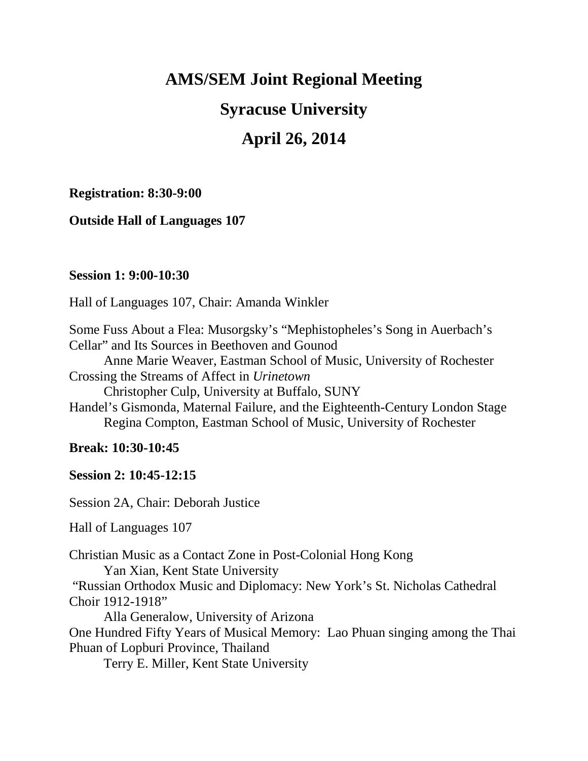## **AMS/SEM Joint Regional Meeting**

# **Syracuse University**

# **April 26, 2014**

#### **Registration: 8:30-9:00**

**Outside Hall of Languages 107**

#### **Session 1: 9:00-10:30**

Hall of Languages 107, Chair: Amanda Winkler

Some Fuss About a Flea: Musorgsky's "Mephistopheles's Song in Auerbach's Cellar" and Its Sources in Beethoven and Gounod

Anne Marie Weaver, Eastman School of Music, University of Rochester Crossing the Streams of Affect in *Urinetown*

Christopher Culp, University at Buffalo, SUNY

Handel's Gismonda, Maternal Failure, and the Eighteenth-Century London Stage Regina Compton, Eastman School of Music, University of Rochester

### **Break: 10:30-10:45**

**Session 2: 10:45-12:15**

Session 2A, Chair: Deborah Justice

Hall of Languages 107

Christian Music as a Contact Zone in Post-Colonial Hong Kong Yan Xian, Kent State University "Russian Orthodox Music and Diplomacy: New York's St. Nicholas Cathedral Choir 1912-1918"

Alla Generalow, University of Arizona

One Hundred Fifty Years of Musical Memory: Lao Phuan singing among the Thai Phuan of Lopburi Province, Thailand

Terry E. Miller, Kent State University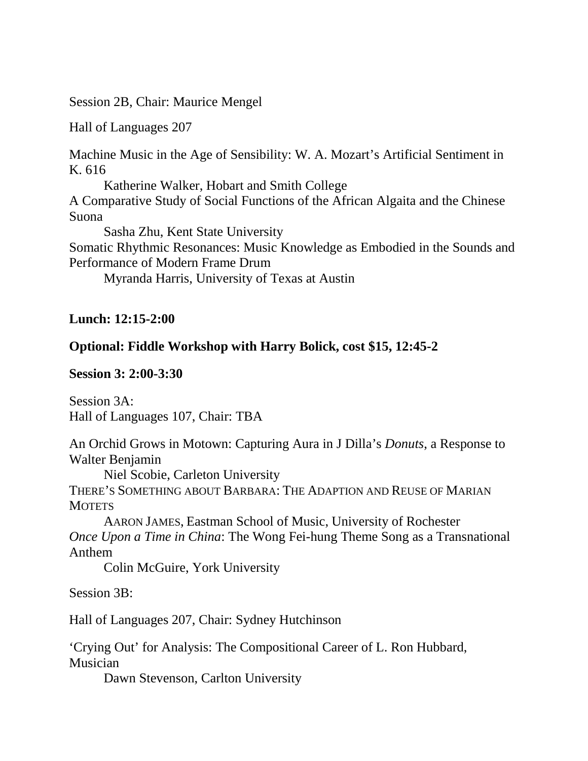Session 2B, Chair: Maurice Mengel

Hall of Languages 207

Machine Music in the Age of Sensibility: W. A. Mozart's Artificial Sentiment in K. 616

Katherine Walker, Hobart and Smith College A Comparative Study of Social Functions of the African Algaita and the Chinese Suona

Sasha Zhu, Kent State University Somatic Rhythmic Resonances: Music Knowledge as Embodied in the Sounds and Performance of Modern Frame Drum

Myranda Harris, University of Texas at Austin

**Lunch: 12:15-2:00**

## **Optional: Fiddle Workshop with Harry Bolick, cost \$15, 12:45-2**

**Session 3: 2:00-3:30**

Session 3A: Hall of Languages 107, Chair: TBA

An Orchid Grows in Motown: Capturing Aura in J Dilla's *Donuts*, a Response to Walter Benjamin Niel Scobie, Carleton University THERE'S SOMETHING ABOUT BARBARA: THE ADAPTION AND REUSE OF MARIAN **MOTETS** AARON JAMES, Eastman School of Music, University of Rochester *Once Upon a Time in China*: The Wong Fei-hung Theme Song as a Transnational Anthem Colin McGuire, York University Session 3B: Hall of Languages 207, Chair: Sydney Hutchinson 'Crying Out' for Analysis: The Compositional Career of L. Ron Hubbard, Musician Dawn Stevenson, Carlton University